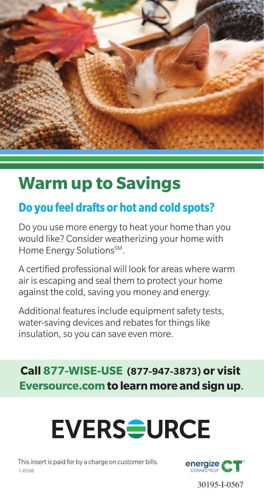

## **Warm up to Savings**

### **Do you feel drafts or hot and cold spots?**

Do you use more energy to heat your home than you would like? Consider weatherizing your home with Home Energy Solutions<sup>SM</sup>.

A certified professional will look for areas where warm air is escaping and seal them to protect your home against the cold, saving you money and energy.

Additional features include equipment safety tests, water-saving devices and rebates for things like insulation, so you can save even more.

#### **Call 877-WISE-USE (877-947-3873) or visit Eversource.com to learn more and sign up**.

# **EVERSOURCE**

This insert is paid for by a charge on customer bills. 1-0168



30195-I-0567